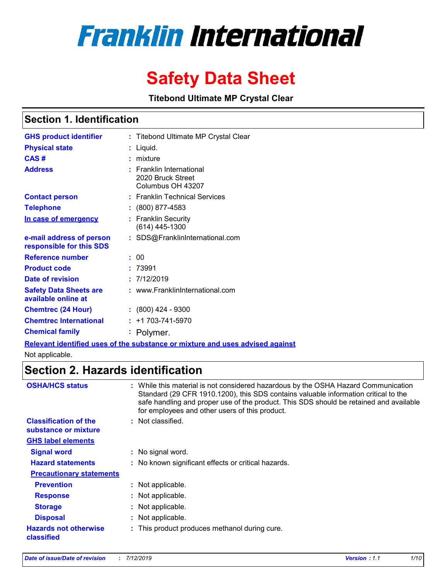# **Franklin International**

# **Safety Data Sheet**

**Titebond Ultimate MP Crystal Clear**

### **Section 1. Identification**

| <b>GHS product identifier</b>                        | : Titebond Ultimate MP Crystal Clear                                       |
|------------------------------------------------------|----------------------------------------------------------------------------|
| <b>Physical state</b>                                | Liquid.                                                                    |
| CAS#                                                 | mixture                                                                    |
| <b>Address</b>                                       | <b>Franklin International</b><br>2020 Bruck Street<br>Columbus OH 43207    |
| <b>Contact person</b>                                | : Franklin Technical Services                                              |
| <b>Telephone</b>                                     | (800) 877-4583                                                             |
| In case of emergency                                 | <b>Franklin Security</b><br>(614) 445-1300                                 |
| e-mail address of person<br>responsible for this SDS | : SDS@FranklinInternational.com                                            |
| <b>Reference number</b>                              | 00                                                                         |
| <b>Product code</b>                                  | 73991                                                                      |
| Date of revision                                     | : 7/12/2019                                                                |
| <b>Safety Data Sheets are</b><br>available online at | : www.FranklinInternational.com                                            |
| <b>Chemtrec (24 Hour)</b>                            | $: (800)$ 424 - 9300                                                       |
| <b>Chemtrec International</b>                        | $: +1703 - 741 - 5970$                                                     |
| <b>Chemical family</b>                               | : Polymer.                                                                 |
|                                                      | Polovant identified uses of the substance or mixture and uses advised agai |

**Relevant identified uses of the substance or mixture and uses advised against**

Not applicable.

### **Section 2. Hazards identification**

| <b>OSHA/HCS status</b>                               | : While this material is not considered hazardous by the OSHA Hazard Communication<br>Standard (29 CFR 1910.1200), this SDS contains valuable information critical to the<br>safe handling and proper use of the product. This SDS should be retained and available<br>for employees and other users of this product. |
|------------------------------------------------------|-----------------------------------------------------------------------------------------------------------------------------------------------------------------------------------------------------------------------------------------------------------------------------------------------------------------------|
| <b>Classification of the</b><br>substance or mixture | : Not classified.                                                                                                                                                                                                                                                                                                     |
| <b>GHS label elements</b>                            |                                                                                                                                                                                                                                                                                                                       |
| <b>Signal word</b>                                   | : No signal word.                                                                                                                                                                                                                                                                                                     |
| <b>Hazard statements</b>                             | : No known significant effects or critical hazards.                                                                                                                                                                                                                                                                   |
| <b>Precautionary statements</b>                      |                                                                                                                                                                                                                                                                                                                       |
| <b>Prevention</b>                                    | : Not applicable.                                                                                                                                                                                                                                                                                                     |
| <b>Response</b>                                      | : Not applicable.                                                                                                                                                                                                                                                                                                     |
| <b>Storage</b>                                       | : Not applicable.                                                                                                                                                                                                                                                                                                     |
| <b>Disposal</b>                                      | : Not applicable.                                                                                                                                                                                                                                                                                                     |
| <b>Hazards not otherwise</b><br>classified           | : This product produces methanol during cure.                                                                                                                                                                                                                                                                         |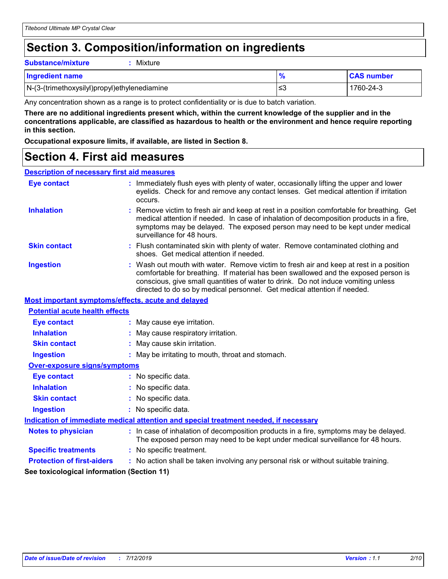### **Section 3. Composition/information on ingredients**

**Substance/mixture :** Mixture

| <b>Ingredient name</b>                       |    | <b>CAS number</b> |
|----------------------------------------------|----|-------------------|
| N-(3-(trimethoxysilyl)propyl)ethylenediamine | ≤3 | 1760-24-3         |

Any concentration shown as a range is to protect confidentiality or is due to batch variation.

**There are no additional ingredients present which, within the current knowledge of the supplier and in the concentrations applicable, are classified as hazardous to health or the environment and hence require reporting in this section.**

**Occupational exposure limits, if available, are listed in Section 8.**

### **Section 4. First aid measures**

#### **Description of necessary first aid measures**

| <b>Eye contact</b>                                 | : Immediately flush eyes with plenty of water, occasionally lifting the upper and lower<br>eyelids. Check for and remove any contact lenses. Get medical attention if irritation<br>occurs.                                                                                                                                                    |  |
|----------------------------------------------------|------------------------------------------------------------------------------------------------------------------------------------------------------------------------------------------------------------------------------------------------------------------------------------------------------------------------------------------------|--|
| <b>Inhalation</b>                                  | Remove victim to fresh air and keep at rest in a position comfortable for breathing. Get<br>medical attention if needed. In case of inhalation of decomposition products in a fire,<br>symptoms may be delayed. The exposed person may need to be kept under medical<br>surveillance for 48 hours.                                             |  |
| <b>Skin contact</b>                                | : Flush contaminated skin with plenty of water. Remove contaminated clothing and<br>shoes. Get medical attention if needed.                                                                                                                                                                                                                    |  |
| <b>Ingestion</b>                                   | : Wash out mouth with water. Remove victim to fresh air and keep at rest in a position<br>comfortable for breathing. If material has been swallowed and the exposed person is<br>conscious, give small quantities of water to drink. Do not induce vomiting unless<br>directed to do so by medical personnel. Get medical attention if needed. |  |
| Most important symptoms/effects, acute and delayed |                                                                                                                                                                                                                                                                                                                                                |  |
| <b>Potential acute health effects</b>              |                                                                                                                                                                                                                                                                                                                                                |  |
| <b>Eye contact</b>                                 | : May cause eye irritation.                                                                                                                                                                                                                                                                                                                    |  |
| <b>Inhalation</b>                                  | : May cause respiratory irritation.                                                                                                                                                                                                                                                                                                            |  |
| <b>Skin contact</b>                                | : May cause skin irritation.                                                                                                                                                                                                                                                                                                                   |  |
| <b>Ingestion</b>                                   | : May be irritating to mouth, throat and stomach.                                                                                                                                                                                                                                                                                              |  |
| <b>Over-exposure signs/symptoms</b>                |                                                                                                                                                                                                                                                                                                                                                |  |
| <b>Eye contact</b>                                 | : No specific data.                                                                                                                                                                                                                                                                                                                            |  |
| <b>Inhalation</b>                                  | : No specific data.                                                                                                                                                                                                                                                                                                                            |  |
| <b>Skin contact</b>                                | : No specific data.                                                                                                                                                                                                                                                                                                                            |  |
| <b>Ingestion</b>                                   | : No specific data.                                                                                                                                                                                                                                                                                                                            |  |
|                                                    | Indication of immediate medical attention and special treatment needed, if necessary                                                                                                                                                                                                                                                           |  |
| <b>Notes to physician</b>                          | : In case of inhalation of decomposition products in a fire, symptoms may be delayed.<br>The exposed person may need to be kept under medical surveillance for 48 hours.                                                                                                                                                                       |  |
| <b>Specific treatments</b>                         | : No specific treatment.                                                                                                                                                                                                                                                                                                                       |  |
| <b>Protection of first-aiders</b>                  | : No action shall be taken involving any personal risk or without suitable training.                                                                                                                                                                                                                                                           |  |
| See toxicological information (Section 11)         |                                                                                                                                                                                                                                                                                                                                                |  |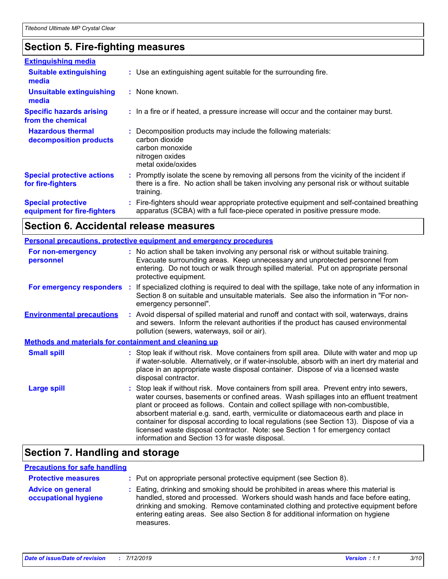### **Section 5. Fire-fighting measures**

| <b>Extinguishing media</b>                               |                                                                                                                                                                                                     |
|----------------------------------------------------------|-----------------------------------------------------------------------------------------------------------------------------------------------------------------------------------------------------|
| <b>Suitable extinguishing</b><br>media                   | : Use an extinguishing agent suitable for the surrounding fire.                                                                                                                                     |
| <b>Unsuitable extinguishing</b><br>media                 | : None known.                                                                                                                                                                                       |
| <b>Specific hazards arising</b><br>from the chemical     | : In a fire or if heated, a pressure increase will occur and the container may burst.                                                                                                               |
| <b>Hazardous thermal</b><br>decomposition products       | Decomposition products may include the following materials:<br>carbon dioxide<br>carbon monoxide<br>nitrogen oxides<br>metal oxide/oxides                                                           |
| <b>Special protective actions</b><br>for fire-fighters   | : Promptly isolate the scene by removing all persons from the vicinity of the incident if<br>there is a fire. No action shall be taken involving any personal risk or without suitable<br>training. |
| <b>Special protective</b><br>equipment for fire-fighters | : Fire-fighters should wear appropriate protective equipment and self-contained breathing<br>apparatus (SCBA) with a full face-piece operated in positive pressure mode.                            |

### **Section 6. Accidental release measures**

|                                                       | <b>Personal precautions, protective equipment and emergency procedures</b>                                                                                                                                                                                                                                                                                                                                                                                                                                                                                                               |
|-------------------------------------------------------|------------------------------------------------------------------------------------------------------------------------------------------------------------------------------------------------------------------------------------------------------------------------------------------------------------------------------------------------------------------------------------------------------------------------------------------------------------------------------------------------------------------------------------------------------------------------------------------|
| For non-emergency<br>personnel                        | : No action shall be taken involving any personal risk or without suitable training.<br>Evacuate surrounding areas. Keep unnecessary and unprotected personnel from<br>entering. Do not touch or walk through spilled material. Put on appropriate personal<br>protective equipment.                                                                                                                                                                                                                                                                                                     |
|                                                       | For emergency responders : If specialized clothing is required to deal with the spillage, take note of any information in<br>Section 8 on suitable and unsuitable materials. See also the information in "For non-<br>emergency personnel".                                                                                                                                                                                                                                                                                                                                              |
| <b>Environmental precautions</b>                      | : Avoid dispersal of spilled material and runoff and contact with soil, waterways, drains<br>and sewers. Inform the relevant authorities if the product has caused environmental<br>pollution (sewers, waterways, soil or air).                                                                                                                                                                                                                                                                                                                                                          |
| Methods and materials for containment and cleaning up |                                                                                                                                                                                                                                                                                                                                                                                                                                                                                                                                                                                          |
| <b>Small spill</b>                                    | : Stop leak if without risk. Move containers from spill area. Dilute with water and mop up<br>if water-soluble. Alternatively, or if water-insoluble, absorb with an inert dry material and<br>place in an appropriate waste disposal container. Dispose of via a licensed waste<br>disposal contractor.                                                                                                                                                                                                                                                                                 |
| <b>Large spill</b>                                    | Stop leak if without risk. Move containers from spill area. Prevent entry into sewers,<br>water courses, basements or confined areas. Wash spillages into an effluent treatment<br>plant or proceed as follows. Contain and collect spillage with non-combustible,<br>absorbent material e.g. sand, earth, vermiculite or diatomaceous earth and place in<br>container for disposal according to local regulations (see Section 13). Dispose of via a<br>licensed waste disposal contractor. Note: see Section 1 for emergency contact<br>information and Section 13 for waste disposal. |

### **Section 7. Handling and storage**

### **Precautions for safe handling**

| <b>Protective measures</b>                       | : Put on appropriate personal protective equipment (see Section 8).                                                                                                                                                                                                                                                                                           |
|--------------------------------------------------|---------------------------------------------------------------------------------------------------------------------------------------------------------------------------------------------------------------------------------------------------------------------------------------------------------------------------------------------------------------|
| <b>Advice on general</b><br>occupational hygiene | : Eating, drinking and smoking should be prohibited in areas where this material is<br>handled, stored and processed. Workers should wash hands and face before eating,<br>drinking and smoking. Remove contaminated clothing and protective equipment before<br>entering eating areas. See also Section 8 for additional information on hygiene<br>measures. |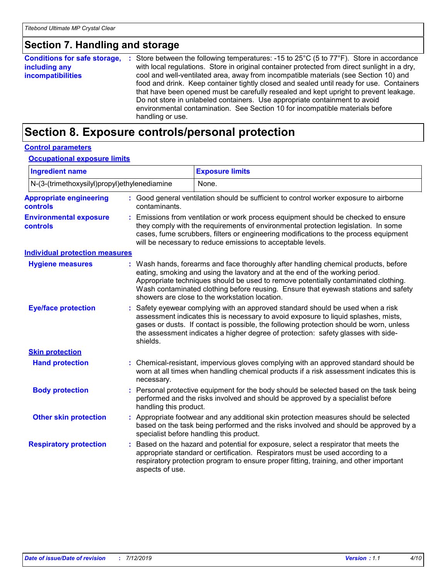### **Section 7. Handling and storage**

| <b>Conditions for safe storage,</b> | : Store between the following temperatures: -15 to $25^{\circ}$ C (5 to $77^{\circ}$ F). Store in accordance |
|-------------------------------------|--------------------------------------------------------------------------------------------------------------|
| including any                       | with local regulations. Store in original container protected from direct sunlight in a dry,                 |
| <b>incompatibilities</b>            | cool and well-ventilated area, away from incompatible materials (see Section 10) and                         |
|                                     | food and drink. Keep container tightly closed and sealed until ready for use. Containers                     |
|                                     | that have been opened must be carefully resealed and kept upright to prevent leakage.                        |
|                                     | Do not store in unlabeled containers. Use appropriate containment to avoid                                   |
|                                     | environmental contamination. See Section 10 for incompatible materials before<br>handling or use.            |
|                                     |                                                                                                              |

### **Section 8. Exposure controls/personal protection**

### **Control parameters**

#### **Occupational exposure limits**

| <b>Ingredient name</b>                                             |    |                                                                                                                                                                                                                                                                                                                                                                  | <b>Exposure limits</b>                                                                                                                                                                                                                                                                                                                                                                            |  |  |
|--------------------------------------------------------------------|----|------------------------------------------------------------------------------------------------------------------------------------------------------------------------------------------------------------------------------------------------------------------------------------------------------------------------------------------------------------------|---------------------------------------------------------------------------------------------------------------------------------------------------------------------------------------------------------------------------------------------------------------------------------------------------------------------------------------------------------------------------------------------------|--|--|
| N-(3-(trimethoxysilyl)propyl)ethylenediamine                       |    |                                                                                                                                                                                                                                                                                                                                                                  | None.                                                                                                                                                                                                                                                                                                                                                                                             |  |  |
| <b>Appropriate engineering</b><br><b>controls</b><br>contaminants. |    |                                                                                                                                                                                                                                                                                                                                                                  | : Good general ventilation should be sufficient to control worker exposure to airborne                                                                                                                                                                                                                                                                                                            |  |  |
| <b>Environmental exposure</b><br><b>controls</b>                   |    |                                                                                                                                                                                                                                                                                                                                                                  | Emissions from ventilation or work process equipment should be checked to ensure<br>they comply with the requirements of environmental protection legislation. In some<br>cases, fume scrubbers, filters or engineering modifications to the process equipment<br>will be necessary to reduce emissions to acceptable levels.                                                                     |  |  |
| <b>Individual protection measures</b>                              |    |                                                                                                                                                                                                                                                                                                                                                                  |                                                                                                                                                                                                                                                                                                                                                                                                   |  |  |
| <b>Hygiene measures</b>                                            |    |                                                                                                                                                                                                                                                                                                                                                                  | : Wash hands, forearms and face thoroughly after handling chemical products, before<br>eating, smoking and using the lavatory and at the end of the working period.<br>Appropriate techniques should be used to remove potentially contaminated clothing.<br>Wash contaminated clothing before reusing. Ensure that eyewash stations and safety<br>showers are close to the workstation location. |  |  |
| <b>Eye/face protection</b>                                         |    | Safety eyewear complying with an approved standard should be used when a risk<br>assessment indicates this is necessary to avoid exposure to liquid splashes, mists,<br>gases or dusts. If contact is possible, the following protection should be worn, unless<br>the assessment indicates a higher degree of protection: safety glasses with side-<br>shields. |                                                                                                                                                                                                                                                                                                                                                                                                   |  |  |
| <b>Skin protection</b>                                             |    |                                                                                                                                                                                                                                                                                                                                                                  |                                                                                                                                                                                                                                                                                                                                                                                                   |  |  |
| <b>Hand protection</b>                                             |    | necessary.                                                                                                                                                                                                                                                                                                                                                       | Chemical-resistant, impervious gloves complying with an approved standard should be<br>worn at all times when handling chemical products if a risk assessment indicates this is                                                                                                                                                                                                                   |  |  |
| <b>Body protection</b>                                             |    | handling this product.                                                                                                                                                                                                                                                                                                                                           | Personal protective equipment for the body should be selected based on the task being<br>performed and the risks involved and should be approved by a specialist before                                                                                                                                                                                                                           |  |  |
| <b>Other skin protection</b>                                       |    | Appropriate footwear and any additional skin protection measures should be selected<br>based on the task being performed and the risks involved and should be approved by a<br>specialist before handling this product.                                                                                                                                          |                                                                                                                                                                                                                                                                                                                                                                                                   |  |  |
| <b>Respiratory protection</b>                                      | ÷. | aspects of use.                                                                                                                                                                                                                                                                                                                                                  | Based on the hazard and potential for exposure, select a respirator that meets the<br>appropriate standard or certification. Respirators must be used according to a<br>respiratory protection program to ensure proper fitting, training, and other important                                                                                                                                    |  |  |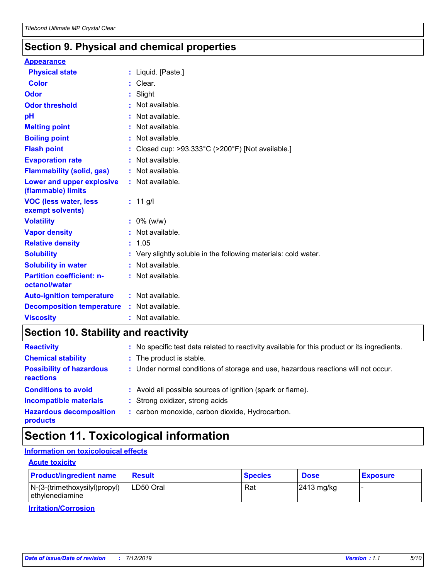### **Section 9. Physical and chemical properties**

#### **Appearance**

| <b>Physical state</b>                             | : Liquid. $[Paste.]$                                                 |
|---------------------------------------------------|----------------------------------------------------------------------|
| Color                                             | $:$ Clear.                                                           |
| Odor                                              | $:$ Slight                                                           |
| <b>Odor threshold</b>                             | Not available.                                                       |
| рH                                                | : Not available.                                                     |
| <b>Melting point</b>                              | : Not available.                                                     |
| <b>Boiling point</b>                              | : Not available.                                                     |
| <b>Flash point</b>                                | Closed cup: $>93.333^{\circ}$ C ( $>200^{\circ}$ F) [Not available.] |
| <b>Evaporation rate</b>                           | Not available.                                                       |
| <b>Flammability (solid, gas)</b>                  | $:$ Not available.                                                   |
| Lower and upper explosive<br>(flammable) limits   | : Not available.                                                     |
| <b>VOC (less water, less</b><br>exempt solvents)  | : $11$ g/l                                                           |
| <b>Volatility</b>                                 | $: 0\%$ (w/w)                                                        |
| <b>Vapor density</b>                              | Not available.                                                       |
| <b>Relative density</b>                           | : 1.05                                                               |
| <b>Solubility</b>                                 | : Very slightly soluble in the following materials: cold water.      |
| <b>Solubility in water</b>                        | : Not available.                                                     |
| <b>Partition coefficient: n-</b><br>octanol/water | : Not available.                                                     |
| <b>Auto-ignition temperature</b>                  | : Not available.                                                     |
| <b>Decomposition temperature</b>                  | : Not available.                                                     |
| <b>Viscosity</b>                                  | : Not available.                                                     |

## **Section 10. Stability and reactivity**

| <b>Reactivity</b>                            | : No specific test data related to reactivity available for this product or its ingredients. |
|----------------------------------------------|----------------------------------------------------------------------------------------------|
| <b>Chemical stability</b>                    | : The product is stable.                                                                     |
| <b>Possibility of hazardous</b><br>reactions | : Under normal conditions of storage and use, hazardous reactions will not occur.            |
| <b>Conditions to avoid</b>                   | : Avoid all possible sources of ignition (spark or flame).                                   |
| <b>Incompatible materials</b>                | : Strong oxidizer, strong acids                                                              |
| <b>Hazardous decomposition</b><br>products   | : carbon monoxide, carbon dioxide, Hydrocarbon.                                              |

## **Section 11. Toxicological information**

### **Information on toxicological effects**

#### **Acute toxicity**

| <b>Product/ingredient name</b>                     | <b>Result</b> | <b>Species</b> | <b>Dose</b>            | <b>Exposure</b> |
|----------------------------------------------------|---------------|----------------|------------------------|-----------------|
| $N-(3-(trimethoxysilyl)propyl)$<br>ethylenediamine | ILD50 Oral    | Rat            | $ 2413 \text{ mg/kg} $ |                 |

**Irritation/Corrosion**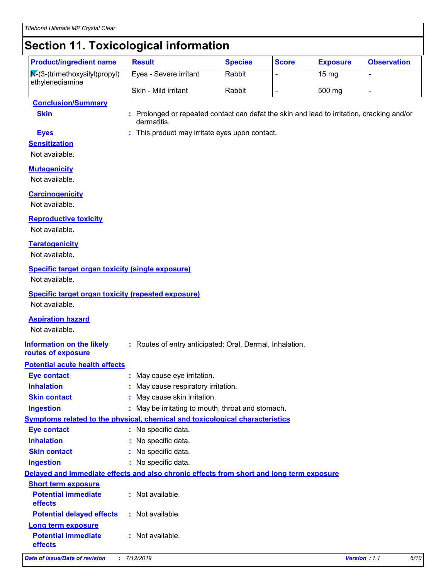### **Section 11. Toxicological information**

| POOGLOII III I OANGOLOGIOMI IIIIOIIIIMAIOII                                           |                        |                |              |                 |                    |
|---------------------------------------------------------------------------------------|------------------------|----------------|--------------|-----------------|--------------------|
| <b>Product/ingredient name</b>                                                        | <b>Result</b>          | <b>Species</b> | <b>Score</b> | <b>Exposure</b> | <b>Observation</b> |
| $\sqrt{\mathsf{N}^2(3\cdot(\text{trimethoxysilyl})\text{propyl})}$<br>ethylenediamine | Eyes - Severe irritant | Rabbit         |              | $15 \text{ mg}$ |                    |
|                                                                                       | l Skin - Mild irritant | Rabbit         |              | 500 mg          |                    |

#### **Conclusion/Summary**

**Skin :** Prolonged or repeated contact can defat the skin and lead to irritation, cracking and/or dermatitis.

- 
- **Eyes :** This product may irritate eyes upon contact.

#### **Sensitization** Not available.

### **Mutagenicity**

Not available.

### **Carcinogenicity**

Not available.

### **Reproductive toxicity**

Not available.

### **Teratogenicity**

Not available.

### **Specific target organ toxicity (single exposure)**

Not available.

#### **Specific target organ toxicity (repeated exposure)**

Not available.

#### **Aspiration hazard**

Not available.

**routes of exposure**

#### **Information on the likely :** Routes of entry anticipated: Oral, Dermal, Inhalation.

### **Potential acute health effects**

| <b>Eye contact</b>                    | : May cause eye irritation.                                                              |
|---------------------------------------|------------------------------------------------------------------------------------------|
| <b>Inhalation</b>                     | : May cause respiratory irritation.                                                      |
| <b>Skin contact</b>                   | : May cause skin irritation.                                                             |
| <b>Ingestion</b>                      | : May be irritating to mouth, throat and stomach.                                        |
|                                       | <b>Symptoms related to the physical, chemical and toxicological characteristics</b>      |
| <b>Eye contact</b>                    | : No specific data.                                                                      |
| <b>Inhalation</b>                     | : No specific data.                                                                      |
| <b>Skin contact</b>                   | : No specific data.                                                                      |
| <b>Ingestion</b>                      | : No specific data.                                                                      |
|                                       | Delayed and immediate effects and also chronic effects from short and long term exposure |
| <b>Short term exposure</b>            |                                                                                          |
| <b>Potential immediate</b><br>effects | $:$ Not available.                                                                       |
| <b>Potential delayed effects</b>      | : Not available.                                                                         |
| <b>Long term exposure</b>             |                                                                                          |
| <b>Potential immediate</b><br>effects | $:$ Not available.                                                                       |

#### *Date of issue/Date of revision* **:** *7/12/2019 Version : 1.1 6/10*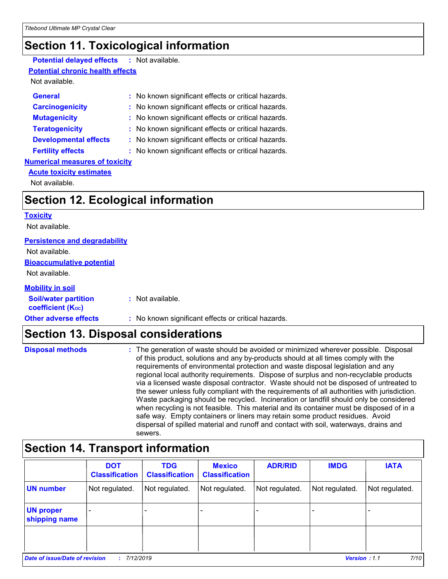### **Section 11. Toxicological information**

### **Potential delayed effects :** Not available.

#### **Potential chronic health effects**

Not available.

| <b>General</b>                        | : No known significant effects or critical hazards. |
|---------------------------------------|-----------------------------------------------------|
| <b>Carcinogenicity</b>                | : No known significant effects or critical hazards. |
| <b>Mutagenicity</b>                   | : No known significant effects or critical hazards. |
| <b>Teratogenicity</b>                 | : No known significant effects or critical hazards. |
| <b>Developmental effects</b>          | : No known significant effects or critical hazards. |
| <b>Fertility effects</b>              | : No known significant effects or critical hazards. |
| <b>Numerical measures of toxicity</b> |                                                     |
| <b>Acute toxicity estimates</b>       |                                                     |

Not available.

### **Section 12. Ecological information**

**Toxicity**

Not available.

### **Persistence and degradability**

**Bioaccumulative potential** Not available.

Not available.

#### **Mobility in soil**

| <b>Soil/water partition</b><br>coefficient (K <sub>oc</sub> ) | : Not available.                                    |
|---------------------------------------------------------------|-----------------------------------------------------|
| <b>Other adverse effects</b>                                  | : No known significant effects or critical hazards. |

### **Section 13. Disposal considerations**

| <b>Disposal methods</b> | : The generation of waste should be avoided or minimized wherever possible. Disposal<br>of this product, solutions and any by-products should at all times comply with the<br>requirements of environmental protection and waste disposal legislation and any<br>regional local authority requirements. Dispose of surplus and non-recyclable products<br>via a licensed waste disposal contractor. Waste should not be disposed of untreated to<br>the sewer unless fully compliant with the requirements of all authorities with jurisdiction.<br>Waste packaging should be recycled. Incineration or landfill should only be considered |
|-------------------------|--------------------------------------------------------------------------------------------------------------------------------------------------------------------------------------------------------------------------------------------------------------------------------------------------------------------------------------------------------------------------------------------------------------------------------------------------------------------------------------------------------------------------------------------------------------------------------------------------------------------------------------------|
|                         | when recycling is not feasible. This material and its container must be disposed of in a<br>safe way. Empty containers or liners may retain some product residues. Avoid<br>dispersal of spilled material and runoff and contact with soil, waterways, drains and<br>sewers.                                                                                                                                                                                                                                                                                                                                                               |

### **Section 14. Transport information**

|                                   | <b>DOT</b><br><b>Classification</b> | <b>TDG</b><br><b>Classification</b> | <b>Mexico</b><br><b>Classification</b> | <b>ADR/RID</b> | <b>IMDG</b>         | <b>IATA</b>    |
|-----------------------------------|-------------------------------------|-------------------------------------|----------------------------------------|----------------|---------------------|----------------|
| <b>UN number</b>                  | Not regulated.                      | Not regulated.                      | Not regulated.                         | Not regulated. | Not regulated.      | Not regulated. |
| <b>UN proper</b><br>shipping name |                                     |                                     |                                        |                |                     |                |
|                                   |                                     |                                     |                                        |                |                     |                |
| Date of issue/Date of revision    | 7/12/2019                           |                                     |                                        |                | <b>Version: 1.1</b> | 7/10           |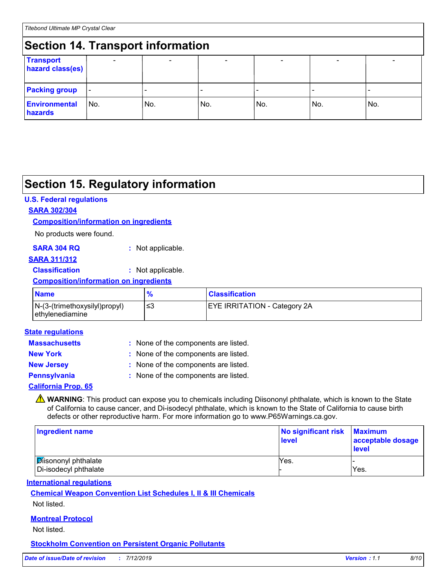#### **Section 14. Transport information** - - - - - - **Transport hazard class(es) Packing group Environmental hazards** No. No. No. - No. - No. - No.

### **Section 15. Regulatory information**

### **U.S. Federal regulations**

### **SARA 302/304**

#### **Composition/information on ingredients**

No products were found.

| <b>SARA 304 RQ</b> | : Not applicable. |
|--------------------|-------------------|
|--------------------|-------------------|

#### **SARA 311/312**

**Classification :** Not applicable.

### **Composition/information on ingredients**

| <b>Name</b>                                      | $\mathbf{o}$ | <b>Classification</b>               |
|--------------------------------------------------|--------------|-------------------------------------|
| N-(3-(trimethoxysilyl)propyl)<br>ethylenediamine | ≃            | <b>EYE IRRITATION - Category 2A</b> |

#### **State regulations**

| <b>Massachusetts</b>       | : None of the components are listed. |
|----------------------------|--------------------------------------|
| <b>New York</b>            | : None of the components are listed. |
| <b>New Jersey</b>          | : None of the components are listed. |
| <b>Pennsylvania</b>        | : None of the components are listed. |
| <b>California Prop. 65</b> |                                      |

**A** WARNING: This product can expose you to chemicals including Diisononyl phthalate, which is known to the State of California to cause cancer, and Di-isodecyl phthalate, which is known to the State of California to cause birth defects or other reproductive harm. For more information go to www.P65Warnings.ca.gov.

| Ingredient name                                     | No significant risk<br><b>level</b> | <b>Maximum</b><br>acceptable dosage<br>level |
|-----------------------------------------------------|-------------------------------------|----------------------------------------------|
| <b>Disononyl phthalate</b><br>Di-isodecyl phthalate | Yes.                                | Yes.                                         |

### **International regulations**

### **Chemical Weapon Convention List Schedules I, II & III Chemicals**

Not listed.

### **Montreal Protocol**

Not listed.

### **Stockholm Convention on Persistent Organic Pollutants**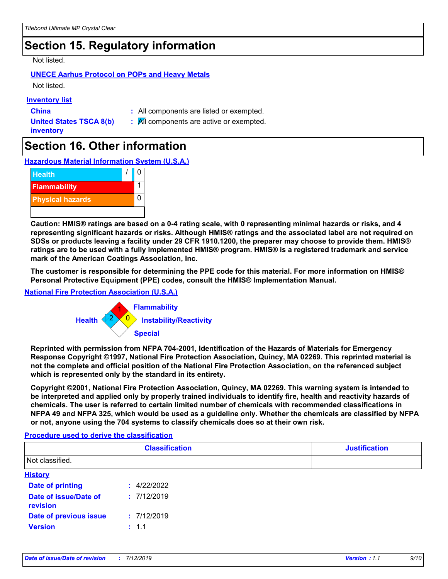### **Section 15. Regulatory information**

Not listed.

### **UNECE Aarhus Protocol on POPs and Heavy Metals**

Not listed.

### **Inventory list**

**China :** All components are listed or exempted.

**United States TSCA 8(b) inventory**

**:** All components are active or exempted.

### **Section 16. Other information**

**Hazardous Material Information System (U.S.A.)**



**Caution: HMIS® ratings are based on a 0-4 rating scale, with 0 representing minimal hazards or risks, and 4 representing significant hazards or risks. Although HMIS® ratings and the associated label are not required on SDSs or products leaving a facility under 29 CFR 1910.1200, the preparer may choose to provide them. HMIS® ratings are to be used with a fully implemented HMIS® program. HMIS® is a registered trademark and service mark of the American Coatings Association, Inc.**

**The customer is responsible for determining the PPE code for this material. For more information on HMIS® Personal Protective Equipment (PPE) codes, consult the HMIS® Implementation Manual.**

### **National Fire Protection Association (U.S.A.)**



**Reprinted with permission from NFPA 704-2001, Identification of the Hazards of Materials for Emergency Response Copyright ©1997, National Fire Protection Association, Quincy, MA 02269. This reprinted material is not the complete and official position of the National Fire Protection Association, on the referenced subject which is represented only by the standard in its entirety.**

**Copyright ©2001, National Fire Protection Association, Quincy, MA 02269. This warning system is intended to be interpreted and applied only by properly trained individuals to identify fire, health and reactivity hazards of chemicals. The user is referred to certain limited number of chemicals with recommended classifications in NFPA 49 and NFPA 325, which would be used as a guideline only. Whether the chemicals are classified by NFPA or not, anyone using the 704 systems to classify chemicals does so at their own risk.**

#### **Procedure used to derive the classification**

|                                   | <b>Classification</b> | <b>Justification</b> |
|-----------------------------------|-----------------------|----------------------|
| Not classified.                   |                       |                      |
| <b>History</b>                    |                       |                      |
| <b>Date of printing</b>           | : 4/22/2022           |                      |
| Date of issue/Date of<br>revision | : 7/12/2019           |                      |
| <b>Date of previous issue</b>     | : 7/12/2019           |                      |
| <b>Version</b>                    | : 1.1                 |                      |